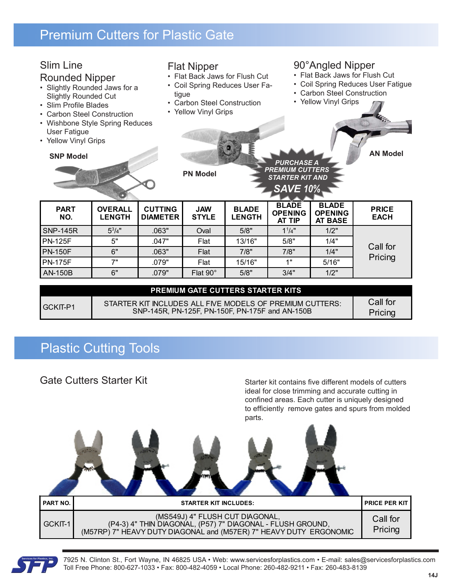# Premium Cutters for Plastic Gate

| <b>Slim Line</b><br><b>Rounded Nipper</b><br>· Slightly Rounded Jaws for a<br><b>Slightly Rounded Cut</b><br>• Slim Profile Blades<br>• Carbon Steel Construction<br>• Wishbone Style Spring Reduces<br><b>User Fatigue</b><br>• Yellow Vinyl Grips<br><b>SNP Model</b> |                                 | tigue                                                                                                       | <b>Flat Nipper</b><br>• Carbon Steel Construction<br>• Yellow Vinyl Grips<br><b>PN Model</b> | • Flat Back Jaws for Flush Cut<br>• Coil Spring Reduces User Fa- | $\bullet$<br><b>PURCHASE A</b><br><b>PREMIUM CUTTERS</b><br><b>STARTER KIT AND</b><br><b>SAVE 10%</b> | 90°Angled Nipper<br>• Flat Back Jaws for Flush Cut<br>• Carbon Steel Construction<br>• Yellow Vinyl Grips | Coil Spring Reduces User Fatigue<br><b>AN Model</b> |
|-------------------------------------------------------------------------------------------------------------------------------------------------------------------------------------------------------------------------------------------------------------------------|---------------------------------|-------------------------------------------------------------------------------------------------------------|----------------------------------------------------------------------------------------------|------------------------------------------------------------------|-------------------------------------------------------------------------------------------------------|-----------------------------------------------------------------------------------------------------------|-----------------------------------------------------|
| <b>PART</b><br>NO.                                                                                                                                                                                                                                                      | <b>OVERALL</b><br><b>LENGTH</b> | <b>CUTTING</b><br><b>DIAMETER</b>                                                                           | <b>JAW</b><br><b>STYLE</b>                                                                   | <b>BLADE</b><br><b>LENGTH</b>                                    | <b>BLADE</b><br><b>OPENING</b><br><b>AT TIP</b>                                                       | <b>BLADE</b><br><b>OPENING</b><br><b>AT BASE</b>                                                          | <b>PRICE</b><br><b>EACH</b>                         |
| <b>SNP-145R</b>                                                                                                                                                                                                                                                         | $5^{3}/4"$                      | .063"                                                                                                       | Oval                                                                                         | 5/8"                                                             | $1^{1}/4$ "                                                                                           | 1/2"                                                                                                      |                                                     |
| <b>PN-125F</b>                                                                                                                                                                                                                                                          | 5"                              | .047"                                                                                                       | Flat                                                                                         | 13/16"                                                           | 5/8"                                                                                                  | 1/4"                                                                                                      |                                                     |
| <b>PN-150F</b>                                                                                                                                                                                                                                                          | 6"                              | .063"                                                                                                       | Flat                                                                                         | 7/8"                                                             | 7/8"                                                                                                  | 1/4"                                                                                                      | Call for                                            |
| <b>PN-175F</b>                                                                                                                                                                                                                                                          | 7"                              | .079"                                                                                                       | Flat                                                                                         | 15/16"                                                           | 1"                                                                                                    | 5/16"                                                                                                     | Pricing                                             |
| <b>AN-150B</b>                                                                                                                                                                                                                                                          | 6"                              | .079"                                                                                                       | Flat $90^\circ$                                                                              | 5/8"                                                             | 3/4"                                                                                                  | 1/2"                                                                                                      |                                                     |
|                                                                                                                                                                                                                                                                         |                                 |                                                                                                             |                                                                                              | PREMIUM GATE CUTTERS STARTER KITS                                |                                                                                                       |                                                                                                           |                                                     |
| GCKIT-P1                                                                                                                                                                                                                                                                |                                 | STARTER KIT INCLUDES ALL FIVE MODELS OF PREMIUM CUTTERS:<br>SNP-145R, PN-125F, PN-150F, PN-175F and AN-150B |                                                                                              |                                                                  |                                                                                                       |                                                                                                           | Call for<br>Pricing                                 |

## Plastic Cutting Tools

### Gate Cutters Starter Kit

Starter kit contains five different models of cutters ideal for close trimming and accurate cutting in confined areas. Each cutter is uniquely designed to efficiently remove gates and spurs from molded parts.





7925 N. Clinton St., Fort Wayne, IN 46825 USA • Web: www.servicesforplastics.com • E-mail: sales@servicesforplastics.com Toll Free Phone: 800-627-1033 • Fax: 800-482-4059 • Local Phone: 260-482-9211 • Fax: 260-483-8139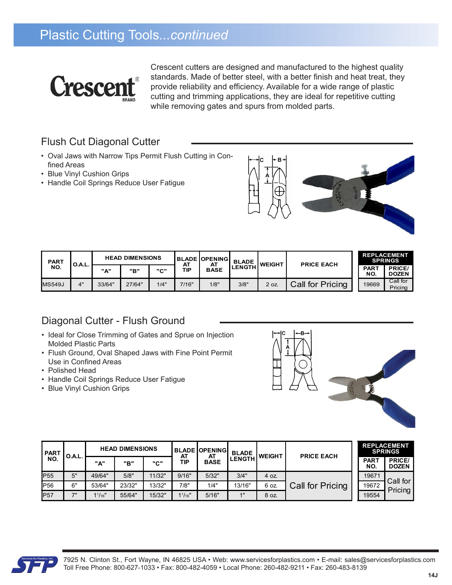# Plastic Cutting Tools*...continued*



Crescent cutters are designed and manufactured to the highest quality standards. Made of better steel, with a better finish and heat treat, they provide reliability and efficiency. Available for a wide range of plastic cutting and trimming applications, they are ideal for repetitive cutting while removing gates and spurs from molded parts.

### Flush Cut Diagonal Cutter

- Oval Jaws with Narrow Tips Permit Flush Cutting in Confined Areas
- Blue Vinyl Cushion Grips
- Handle Coil Springs Reduce User Fatigue



| <b>PART</b><br>NO. | O.A.L. | <b>HEAD DIMENSIONS</b> |        |      | <b>I BLADE IOPENINGI</b><br>ΑT<br>ΑT | <b>BLADE</b> | <b>WEIGHT</b> | <b>PRICE EACH</b> | <b>REPLACEMENT</b><br><b>SPRINGS</b> |                    |                              |
|--------------------|--------|------------------------|--------|------|--------------------------------------|--------------|---------------|-------------------|--------------------------------------|--------------------|------------------------------|
|                    |        | "A"                    | "в"    | "^"  | TIP                                  | <b>BASE</b>  | <b>LENGTH</b> |                   |                                      | <b>PAR1</b><br>NO. | <b>PRICE</b><br><b>DOZEN</b> |
| <b>MS549J</b>      | 4"     | 33/64"                 | 27/64" | 1/4" | 7/16"                                | 1/8"         | 3/8"          | 2 oz.             | Call for Pricing                     | 19669              | Call for<br>Pricing          |

### Diagonal Cutter - Flush Ground

- Ideal for Close Trimming of Gates and Sprue on Injection Molded Plastic Parts
- Flush Ground, Oval Shaped Jaws with Fine Point Permit Use in Confined Areas
- Polished Head
- Handle Coil Springs Reduce User Fatigue
- Blue Vinyl Cushion Grips



| <b>PART</b> | O.A.L. | <b>HEAD DIMENSIONS</b> |        |        | AT              | <b>BLADE OPENING</b><br>AT | <b>BLADE</b>  | <b>WEIGHT</b> | <b>PRICE EACH</b> |                    | <b>REPLACEMENT</b><br><b>SPRINGS</b> |
|-------------|--------|------------------------|--------|--------|-----------------|----------------------------|---------------|---------------|-------------------|--------------------|--------------------------------------|
|             |        | "A"                    | "в"    | "C"    | TIP             | <b>BASE</b>                | <b>LENGTH</b> |               |                   | <b>PART</b><br>NO. | <b>PRICE</b><br><b>DOZEN</b>         |
| <b>P55</b>  | 5"     | 49/64"                 | 5/8"   | 11/32" | 9/16"           | 5/32"                      | 3/4"          | 4 oz.         |                   | 19671              |                                      |
| <b>P56</b>  | 6"     | 53/64"                 | 23/32" | 13/32" | 7/8"            | 1/4"                       | 13/16"        | 6 oz          | Call for Pricing  | 19672              | Call for                             |
| <b>P57</b>  | 71     | $1^{1}/_{16}$ "        | 55/64" | 15/32" | $1^{1}/_{16}$ " | 5/16"                      | 1"            | 8 oz.         |                   | 19554              | Pricing                              |

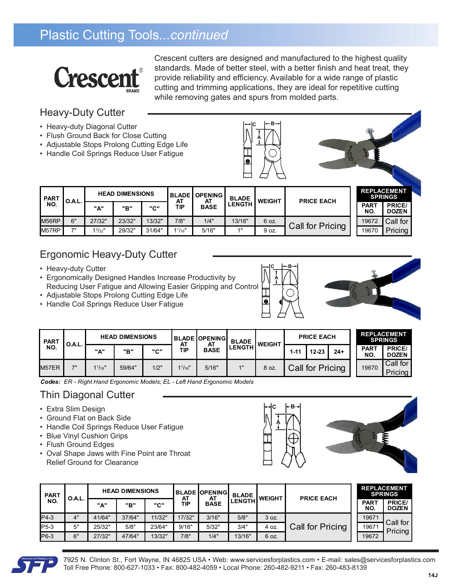# Plastic Cutting Tools*...continued*



Crescent cutters are designed and manufactured to the highest quality standards. Made of better steel, with a better finish and heat treat, they provide reliability and efficiency. Available for a wide range of plastic cutting and trimming applications, they are ideal for repetitive cutting while removing gates and spurs from molded parts.

## Heavy-Duty Cutter

- Heavy-duty Diagonal Cutter
- Flush Ground Back for Close Cutting
- Adjustable Stops Prolong Cutting Edge Life
- Handle Coil Springs Reduce User Fatigue

**HEAD DIMENSIONS BLADE**





| <b>PART</b><br>NO. | <b>O.A.L.</b> | <b>MEAD DIMENSIONS</b> |                     | <b>IBLADE I OPENING</b><br>AT<br>AT | <b>BLADE</b> | <b>WEIGHT</b>   | <b>PRICE EACH</b> |        |       | <b>SPRINGS</b>   |                     |                        |          |
|--------------------|---------------|------------------------|---------------------|-------------------------------------|--------------|-----------------|-------------------|--------|-------|------------------|---------------------|------------------------|----------|
|                    |               | "A"                    | "В"                 | "^"<br>ື                            | TIP          | <b>BASE</b>     | <b>LENGTH</b>     |        |       |                  | $PAR^{\tau}$<br>NO. | PRICE/<br><b>DOZEN</b> |          |
|                    | M56RP         | 6"                     | 27/32"              | 23/32"                              | 13/32"       | 7/8"            | 1/4"              | 13/16" | 6 oz. |                  |                     | 19672                  | Call for |
|                    | M57RP         | $\rightarrow$          | 1 <sup>3</sup> /32" | 29/32"                              | 31/64"       | $1^{1}/_{16}$ " | 5/16"             | $A$ II | 9 oz. | Call for Pricing |                     | 19670                  | Pricing  |

## Ergonomic Heavy-Duty Cutter

- Heavy-duty Cutter
- Ergonomically Designed Handles Increase Productivity by Reducing User Fatigue and Allowing Easier Gripping and Control
- Adjustable Stops Prolong Cutting Edge Life
- Handle Coil Springs Reduce User Fatigue





| <b>PART</b> | O.A.L. |            | <b>HEAD DIMENSIONS</b> |      | AT         | <b>BLADE OPENING</b><br>AT | <b>BLADE</b>  | <b>WEIGHT</b> |                  | <b>PRICE EACH</b> |       |                     | <b>REPLACEMENT</b><br><b>SPRINGS</b> |
|-------------|--------|------------|------------------------|------|------------|----------------------------|---------------|---------------|------------------|-------------------|-------|---------------------|--------------------------------------|
| NO.         |        | "A"        | "в"                    | "^"  | TIP        | <b>BASE</b>                | <b>LENGTH</b> |               | $1 - 11$         | $12 - 23$         | $24+$ | <b>PART</b><br>NO.  | <b>PRICE/</b><br><b>DOZEN</b>        |
| M57ER       | 70     | $1^{1/16}$ | 59/64"                 | 1/2" | $1^{1/16}$ | 5/16"                      | 4"            | 8 oz.         | Call for Pricing |                   | 19670 | Call for<br>Pricing |                                      |

*Codes: ER - Right Hand Ergonomic Models; EL - Left Hand Ergonomic Models*

### Thin Diagonal Cutter

- Extra Slim Design
- Ground Flat on Back Side
- Handle Coil Springs Reduce User Fatigue
- Blue Vinyl Cushion Grips
- Flush Ground Edges
- Oval Shape Jaws with Fine Point are Throat Relief Ground for Clearance





| <b>PART</b> | <b>O.A.L.</b> | <b>HEAD DIMENSIONS</b> |        |        | <b>BLADE OPENING</b><br>AT<br>AT |            | <b>BLADE</b> | <b>WEIGHT</b> | <b>PRICE EACH</b> |                  | <b>REPLACEMENT</b><br><b>SPRINGS</b> |                        |
|-------------|---------------|------------------------|--------|--------|----------------------------------|------------|--------------|---------------|-------------------|------------------|--------------------------------------|------------------------|
|             | NO.           |                        | "A"    | "в"    | "C"                              | <b>TIP</b> | <b>BASE</b>  | <b>LENGTH</b> |                   |                  | <b>PART</b><br>NO.                   | PRICE/<br><b>DOZEN</b> |
|             | $P4-3$        | 4"                     | 41/64" | 37/64" | 11/32"                           | 17/32"     | 3/16"        | 5/8"          | 3 oz.             |                  | 19671                                |                        |
|             | $IP5-3$       | 5"                     | 25/32" | 5/8"   | 23/64"                           | 9/16"      | 5/32"        | 3/4"          | 4 oz              | Call for Pricing | 19671                                | Call for<br>Pricing    |
|             | P6-3          | 6"                     | 27/32" | 47/64" | 13/32"                           | 7/8"       | 1/4"         | 13/16"        | 6 oz.             |                  | 19672                                |                        |



7925 N. Clinton St., Fort Wayne, IN 46825 USA • Web: www.servicesforplastics.com • E-mail: sales@servicesforplastics.com Toll Free Phone: 800-627-1033 • Fax: 800-482-4059 • Local Phone: 260-482-9211 • Fax: 260-483-8139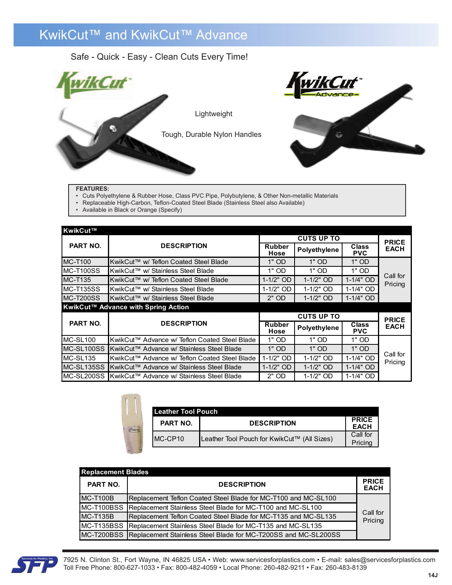# KwikCut™ and KwikCut™ Advance

### Safe - Quick - Easy - Clean Cuts Every Time!



#### **FEATURES:**

- Cuts Polyethylene & Rubber Hose, Class PVC Pipe, Polybutylene, & Other Non-metallic Materials
- Replaceable High-Carbon, Teflon-Coated Steel Blade (Stainless Steel also Available)
- Available in Black or Orange (Specify)

| KwikCut™        |                                               |                       |                     |                            |                     |  |
|-----------------|-----------------------------------------------|-----------------------|---------------------|----------------------------|---------------------|--|
|                 |                                               |                       | <b>CUTS UP TO</b>   |                            | <b>PRICE</b>        |  |
| <b>PART NO.</b> | <b>DESCRIPTION</b>                            | <b>Rubber</b><br>Hose | Polyethylene        | <b>Class</b><br><b>PVC</b> | <b>EACH</b>         |  |
| MC-T100         | KwikCut™ w/ Teflon Coated Steel Blade         | 1" OD                 | $1"$ OD             | $1"$ OD                    |                     |  |
| IMC-T100SS      | KwikCut™ w/ Stainless Steel Blade             | 1" OD                 | 1" OD               | $1"$ OD                    |                     |  |
| <b>MC-T135</b>  | KwikCut™ w/ Teflon Coated Steel Blade         | $1 - 1/2"$ OD         | $1 - 1/2"$ OD       | $1 - 1/4"$ OD              | Call for<br>Pricing |  |
| IMC-T135SS      | KwikCut™ w/ Stainless Steel Blade             | 1-1/2" OD             | $1-1/2"$ OD         | $1 - 1/4"$ OD              |                     |  |
| MC-T200SS       | KwikCut™ w/ Stainless Steel Blade             | $2"$ OD               | $1 - 1/2"$ OD       | $1 - 1/4"$ OD              |                     |  |
|                 | KwikCut™ Advance with Spring Action           |                       |                     |                            |                     |  |
|                 |                                               |                       | <b>PRICE</b>        |                            |                     |  |
| <b>PART NO.</b> | <b>DESCRIPTION</b>                            | <b>Rubber</b><br>Hose | <b>Polyethylene</b> | <b>Class</b><br><b>PVC</b> | <b>EACH</b>         |  |
| MC-SL100        | KwikCut™ Advance w/ Teflon Coated Steel Blade | 1" OD                 | $1"$ OD             | $1"$ OD                    |                     |  |
| MC-SL100SS      | KwikCut™ Advance w/ Stainless Steel Blade     | $1"$ OD               | $1"$ OD             | $1"$ OD                    |                     |  |
| MC-SL135        | KwikCut™ Advance w/ Teflon Coated Steel Blade | 1-1/2" OD             | $1 - 1/2"$ OD       | 1-1/4" OD                  | Call for<br>Pricing |  |
| MC-SL135SS      | KwikCut™ Advance w/ Stainless Steel Blade     | $1 - 1/2"$ OD         | $1 - 1/2"$ OD       | $1-1/4"$ OD                |                     |  |
| MC-SL200SSI     | KwikCut™ Advance w/ Stainless Steel Blade     | 2" OD                 | $1 - 1/2"$ OD       | 1-1/4" OD                  |                     |  |

| <b>Leather Tool Pouch</b> |                                             |                             |
|---------------------------|---------------------------------------------|-----------------------------|
| <b>PART NO.</b>           | <b>DESCRIPTION</b>                          | <b>PRICE</b><br><b>EACH</b> |
| MC-CP10                   | Leather Tool Pouch for KwikCut™ (All Sizes) | Call for<br>Pricing         |

| <b>Replacement Blades</b> |                                                                           |                             |  |  |  |  |  |  |  |
|---------------------------|---------------------------------------------------------------------------|-----------------------------|--|--|--|--|--|--|--|
| <b>PART NO.</b>           | <b>DESCRIPTION</b>                                                        | <b>PRICE</b><br><b>EACH</b> |  |  |  |  |  |  |  |
| $MC-T100B$                | Replacement Teflon Coated Steel Blade for MC-T100 and MC-SL100            |                             |  |  |  |  |  |  |  |
|                           | MC-T100BSS Replacement Stainless Steel Blade for MC-T100 and MC-SL100     |                             |  |  |  |  |  |  |  |
| $MC-T135B$                | Replacement Teflon Coated Steel Blade for MC-T135 and MC-SL135            | Call for<br>Pricing         |  |  |  |  |  |  |  |
|                           | MC-T135BSS Replacement Stainless Steel Blade for MC-T135 and MC-SL135     |                             |  |  |  |  |  |  |  |
|                           | MC-T200BSS Replacement Stainless Steel Blade for MC-T200SS and MC-SL200SS |                             |  |  |  |  |  |  |  |